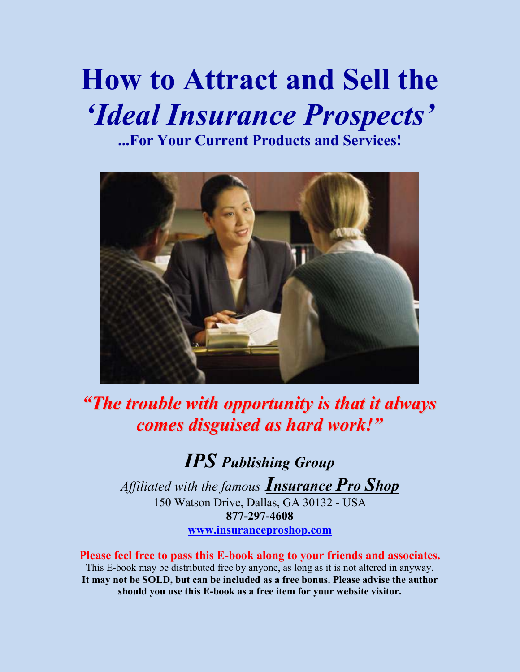# **How to Attract and Sell the**  *'Ideal Insurance Prospects'*

**...For Your Current Products and Services!**



*"The trouble with opportunity is that it always comes disguised as hard work!"*

*IPS Publishing Group*

*Affiliated with the famous Insurance Pro Shop* 150 Watson Drive, Dallas, GA 30132 - USA **877-297-4608 www.insuranceproshop.com**

**Please feel free to pass this E-book along to your friends and associates.**  This E-book may be distributed free by anyone, as long as it is not altered in anyway. **It may not be SOLD, but can be included as a free bonus. Please advise the author should you use this E-book as a free item for your website visitor.**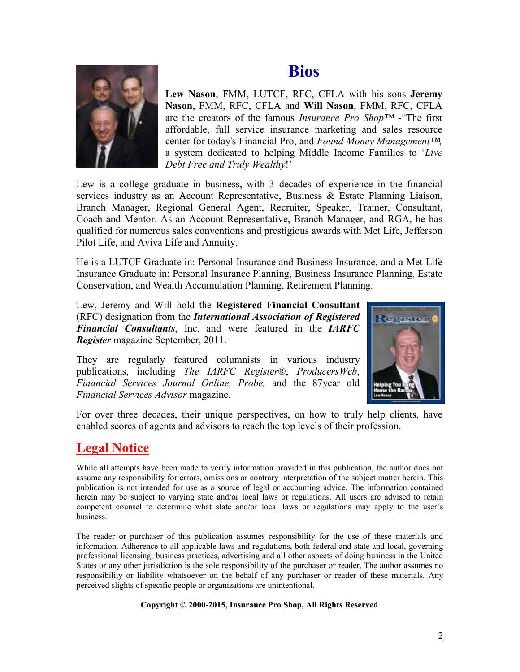### **Bios**



**Lew Nason**, FMM, LUTCF, RFC, CFLA with his sons **Jeremy Nason**, FMM, RFC, CFLA and **Will Nason**, FMM, RFC, CFLA are the creators of the famous *Insurance Pro Shop™* -"The first affordable, full service insurance marketing and sales resource center for today's Financial Pro, and *Found Money Management™,* a system dedicated to helping Middle Income Families to '*Live Debt Free and Truly Wealthy*!'

Lew is a college graduate in business, with 3 decades of experience in the financial services industry as an Account Representative, Business & Estate Planning Liaison, Branch Manager, Regional General Agent, Recruiter, Speaker, Trainer, Consultant, Coach and Mentor. As an Account Representative, Branch Manager, and RGA, he has qualified for numerous sales conventions and prestigious awards with Met Life, Jefferson Pilot Life, and Aviva Life and Annuity.

He is a LUTCF Graduate in: Personal Insurance and Business Insurance, and a Met Life Insurance Graduate in: Personal Insurance Planning, Business Insurance Planning, Estate Conservation, and Wealth Accumulation Planning, Retirement Planning.

Lew, Jeremy and Will hold the **Registered Financial Consultant** (RFC) designation from the *International Association of Registered Financial Consultants*, Inc. and were featured in the *IARFC Register* magazine September, 2011.

They are regularly featured columnists in various industry publications, including *The IARFC Register*®, *ProducersWeb*, *Financial Services Journal Online, Probe,* and the 87year old *Financial Services Advisor* magazine.



For over three decades, their unique perspectives, on how to truly help clients, have enabled scores of agents and advisors to reach the top levels of their profession.

### **Legal Notice**

While all attempts have been made to verify information provided in this publication, the author does not assume any responsibility for errors, omissions or contrary interpretation of the subject matter herein. This publication is not intended for use as a source of legal or accounting advice. The information contained herein may be subject to varying state and/or local laws or regulations. All users are advised to retain competent counsel to determine what state and/or local laws or regulations may apply to the user's business.

The reader or purchaser of this publication assumes responsibility for the use of these materials and information. Adherence to all applicable laws and regulations, both federal and state and local, governing professional licensing, business practices, advertising and all other aspects of doing business in the United States or any other jurisdiction is the sole responsibility of the purchaser or reader. The author assumes no responsibility or liability whatsoever on the behalf of any purchaser or reader of these materials. Any perceived slights of specific people or organizations are unintentional.

#### **Copyright © 2000-2015, Insurance Pro Shop, All Rights Reserved**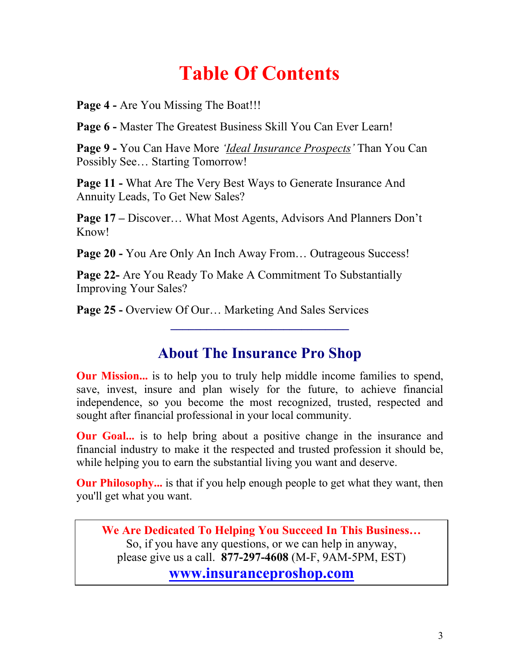## **Table Of Contents**

Page 4 - Are You Missing The Boat!!!

**Page 6 -** Master The Greatest Business Skill You Can Ever Learn!

**Page 9 -** You Can Have More *'Ideal Insurance Prospects'* Than You Can Possibly See… Starting Tomorrow!

**Page 11 -** What Are The Very Best Ways to Generate Insurance And Annuity Leads, To Get New Sales?

**Page 17 –** Discover… What Most Agents, Advisors And Planners Don't Know!

Page 20 - You Are Only An Inch Away From... Outrageous Success!

**Page 22-** Are You Ready To Make A Commitment To Substantially Improving Your Sales?

**Page 25 -** Overview Of Our… Marketing And Sales Services

### **About The Insurance Pro Shop**

**\_\_\_\_\_\_\_\_\_\_\_\_\_\_\_\_\_\_\_\_\_\_\_\_\_\_\_\_\_\_** 

**Our Mission...** is to help you to truly help middle income families to spend, save, invest, insure and plan wisely for the future, to achieve financial independence, so you become the most recognized, trusted, respected and sought after financial professional in your local community.

**Our Goal...** is to help bring about a positive change in the insurance and financial industry to make it the respected and trusted profession it should be, while helping you to earn the substantial living you want and deserve.

**Our Philosophy...** is that if you help enough people to get what they want, then you'll get what you want.

**We Are Dedicated To Helping You Succeed In This Business…** So, if you have any questions, or we can help in anyway, please give us a call. **877-297-4608** (M-F, 9AM-5PM, EST)

**www.insuranceproshop.com**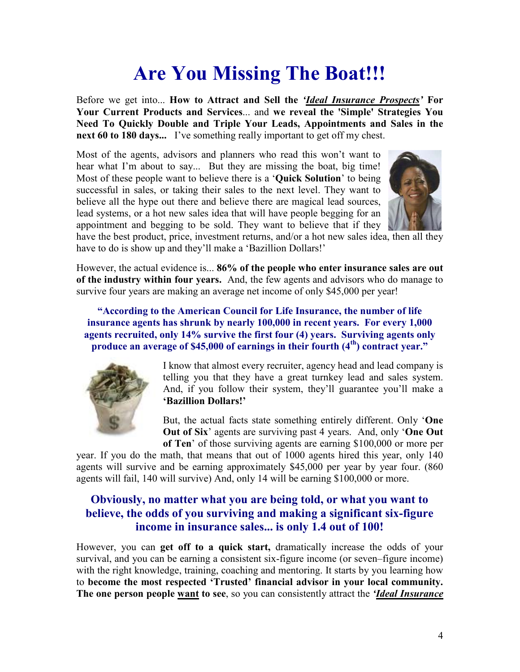## **Are You Missing The Boat!!!**

Before we get into... **How to Attract and Sell the** *'Ideal Insurance Prospects'* **For Your Current Products and Services**... and **we reveal the 'Simple' Strategies You Need To Quickly Double and Triple Your Leads, Appointments and Sales in the next 60 to 180 days...** I've something really important to get off my chest.

Most of the agents, advisors and planners who read this won't want to hear what I'm about to say... But they are missing the boat, big time! Most of these people want to believe there is a '**Quick Solution**' to being successful in sales, or taking their sales to the next level. They want to believe all the hype out there and believe there are magical lead sources, lead systems, or a hot new sales idea that will have people begging for an appointment and begging to be sold. They want to believe that if they



have the best product, price, investment returns, and/or a hot new sales idea, then all they have to do is show up and they'll make a 'Bazillion Dollars!'

However, the actual evidence is... **86% of the people who enter insurance sales are out of the industry within four years.** And, the few agents and advisors who do manage to survive four years are making an average net income of only \$45,000 per year!

**"According to the American Council for Life Insurance, the number of life insurance agents has shrunk by nearly 100,000 in recent years. For every 1,000 agents recruited, only 14% survive the first four (4) years. Surviving agents only produce an average of \$45,000 of earnings in their fourth (4th) contract year."** 



I know that almost every recruiter, agency head and lead company is telling you that they have a great turnkey lead and sales system. And, if you follow their system, they'll guarantee you'll make a **'Bazillion Dollars!'**

But, the actual facts state something entirely different. Only '**One Out of Six**' agents are surviving past 4 years. And, only '**One Out of Ten**' of those surviving agents are earning \$100,000 or more per

year. If you do the math, that means that out of 1000 agents hired this year, only 140 agents will survive and be earning approximately \$45,000 per year by year four. (860 agents will fail, 140 will survive) And, only 14 will be earning \$100,000 or more.

#### **Obviously, no matter what you are being told, or what you want to believe, the odds of you surviving and making a significant six-figure income in insurance sales... is only 1.4 out of 100!**

However, you can **get off to a quick start,** dramatically increase the odds of your survival, and you can be earning a consistent six-figure income (or seven–figure income) with the right knowledge, training, coaching and mentoring. It starts by you learning how to **become the most respected 'Trusted' financial advisor in your local community. The one person people want to see**, so you can consistently attract the *'Ideal Insurance*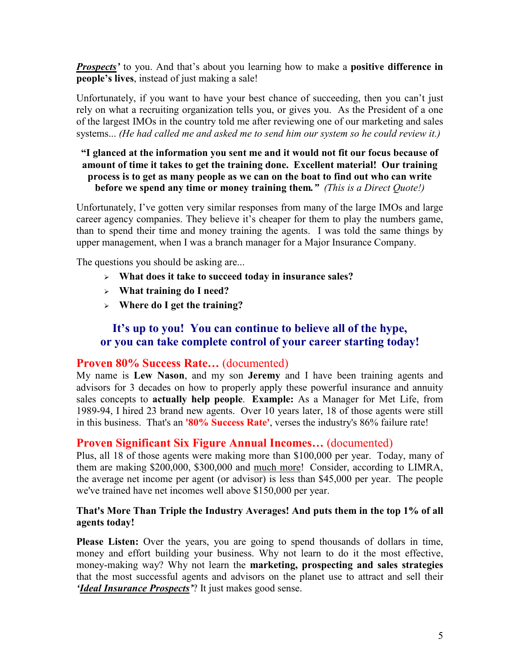*Prospects'* to you. And that's about you learning how to make a **positive difference in people's lives**, instead of just making a sale!

Unfortunately, if you want to have your best chance of succeeding, then you can't just rely on what a recruiting organization tells you, or gives you. As the President of a one of the largest IMOs in the country told me after reviewing one of our marketing and sales systems... *(He had called me and asked me to send him our system so he could review it.)*

#### **"I glanced at the information you sent me and it would not fit our focus because of amount of time it takes to get the training done. Excellent material! Our training process is to get as many people as we can on the boat to find out who can write before we spend any time or money training them***." (This is a Direct Quote!)*

Unfortunately, I've gotten very similar responses from many of the large IMOs and large career agency companies. They believe it's cheaper for them to play the numbers game, than to spend their time and money training the agents. I was told the same things by upper management, when I was a branch manager for a Major Insurance Company.

The questions you should be asking are...

- **What does it take to succeed today in insurance sales?**
- **What training do I need?**
- **Where do I get the training?**

#### **It's up to you! You can continue to believe all of the hype, or you can take complete control of your career starting today!**

#### **Proven 80% Success Rate…** (documented)

My name is **Lew Nason**, and my son **Jeremy** and I have been training agents and advisors for 3 decades on how to properly apply these powerful insurance and annuity sales concepts to **actually help people**. **Example:** As a Manager for Met Life, from 1989-94, I hired 23 brand new agents. Over 10 years later, 18 of those agents were still in this business. That's an **'80% Success Rate'**, verses the industry's 86% failure rate!

#### **Proven Significant Six Figure Annual Incomes…** (documented)

Plus, all 18 of those agents were making more than \$100,000 per year. Today, many of them are making \$200,000, \$300,000 and much more! Consider, according to LIMRA, the average net income per agent (or advisor) is less than \$45,000 per year. The people we've trained have net incomes well above \$150,000 per year.

#### **That's More Than Triple the Industry Averages! And puts them in the top 1% of all agents today!**

**Please Listen:** Over the years, you are going to spend thousands of dollars in time, money and effort building your business. Why not learn to do it the most effective, money-making way? Why not learn the **marketing, prospecting and sales strategies** that the most successful agents and advisors on the planet use to attract and sell their *'Ideal Insurance Prospects'*? It just makes good sense.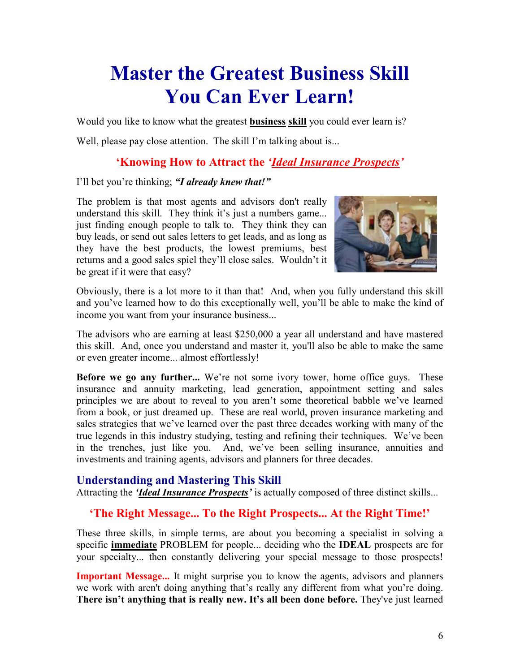## **Master the Greatest Business Skill You Can Ever Learn!**

Would you like to know what the greatest **business skill** you could ever learn is?

Well, please pay close attention. The skill I'm talking about is...

#### **'Knowing How to Attract the** *'Ideal Insurance Prospects'*

#### I'll bet you're thinking; *"I already knew that!"*

The problem is that most agents and advisors don't really understand this skill. They think it's just a numbers game... just finding enough people to talk to. They think they can buy leads, or send out sales letters to get leads, and as long as they have the best products, the lowest premiums, best returns and a good sales spiel they'll close sales. Wouldn't it be great if it were that easy?



Obviously, there is a lot more to it than that! And, when you fully understand this skill and you've learned how to do this exceptionally well, you'll be able to make the kind of income you want from your insurance business...

The advisors who are earning at least \$250,000 a year all understand and have mastered this skill. And, once you understand and master it, you'll also be able to make the same or even greater income... almost effortlessly!

**Before we go any further...** We're not some ivory tower, home office guys. These insurance and annuity marketing, lead generation, appointment setting and sales principles we are about to reveal to you aren't some theoretical babble we've learned from a book, or just dreamed up. These are real world, proven insurance marketing and sales strategies that we've learned over the past three decades working with many of the true legends in this industry studying, testing and refining their techniques. We've been in the trenches, just like you. And, we've been selling insurance, annuities and investments and training agents, advisors and planners for three decades.

#### **Understanding and Mastering This Skill**

Attracting the *'Ideal Insurance Prospects'* is actually composed of three distinct skills...

#### **'The Right Message... To the Right Prospects... At the Right Time!'**

These three skills, in simple terms, are about you becoming a specialist in solving a specific **immediate** PROBLEM for people... deciding who the **IDEAL** prospects are for your specialty... then constantly delivering your special message to those prospects!

**Important Message...** It might surprise you to know the agents, advisors and planners we work with aren't doing anything that's really any different from what you're doing. **There isn't anything that is really new. It's all been done before.** They've just learned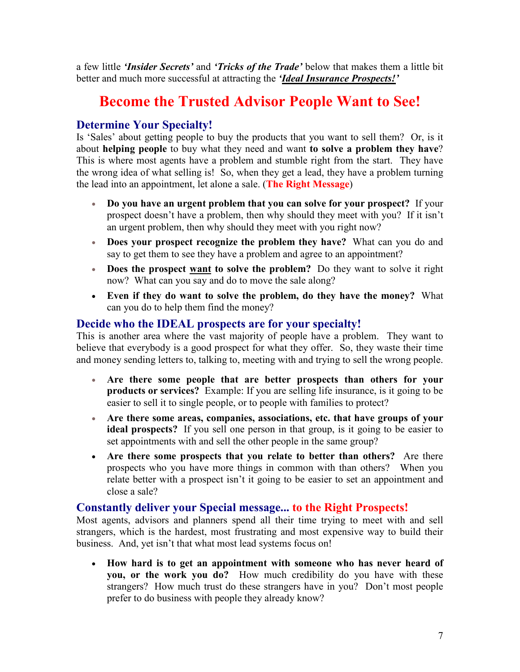a few little *'Insider Secrets'* and *'Tricks of the Trade'* below that makes them a little bit better and much more successful at attracting the *'Ideal Insurance Prospects!'*

### **Become the Trusted Advisor People Want to See!**

#### **Determine Your Specialty!**

Is 'Sales' about getting people to buy the products that you want to sell them? Or, is it about **helping people** to buy what they need and want **to solve a problem they have**? This is where most agents have a problem and stumble right from the start. They have the wrong idea of what selling is! So, when they get a lead, they have a problem turning the lead into an appointment, let alone a sale. (**The Right Message**)

- **Do you have an urgent problem that you can solve for your prospect?** If your prospect doesn't have a problem, then why should they meet with you? If it isn't an urgent problem, then why should they meet with you right now?
- **Does your prospect recognize the problem they have?** What can you do and say to get them to see they have a problem and agree to an appointment?
- **Does the prospect want to solve the problem?** Do they want to solve it right now? What can you say and do to move the sale along?
- **Even if they do want to solve the problem, do they have the money?** What can you do to help them find the money?

#### **Decide who the IDEAL prospects are for your specialty!**

This is another area where the vast majority of people have a problem. They want to believe that everybody is a good prospect for what they offer. So, they waste their time and money sending letters to, talking to, meeting with and trying to sell the wrong people.

- **Are there some people that are better prospects than others for your products or services?** Example: If you are selling life insurance, is it going to be easier to sell it to single people, or to people with families to protect?
- **Are there some areas, companies, associations, etc. that have groups of your ideal prospects?** If you sell one person in that group, is it going to be easier to set appointments with and sell the other people in the same group?
- **Are there some prospects that you relate to better than others?** Are there prospects who you have more things in common with than others? When you relate better with a prospect isn't it going to be easier to set an appointment and close a sale?

#### **Constantly deliver your Special message... to the Right Prospects!**

Most agents, advisors and planners spend all their time trying to meet with and sell strangers, which is the hardest, most frustrating and most expensive way to build their business. And, yet isn't that what most lead systems focus on!

• **How hard is to get an appointment with someone who has never heard of you, or the work you do?** How much credibility do you have with these strangers? How much trust do these strangers have in you? Don't most people prefer to do business with people they already know?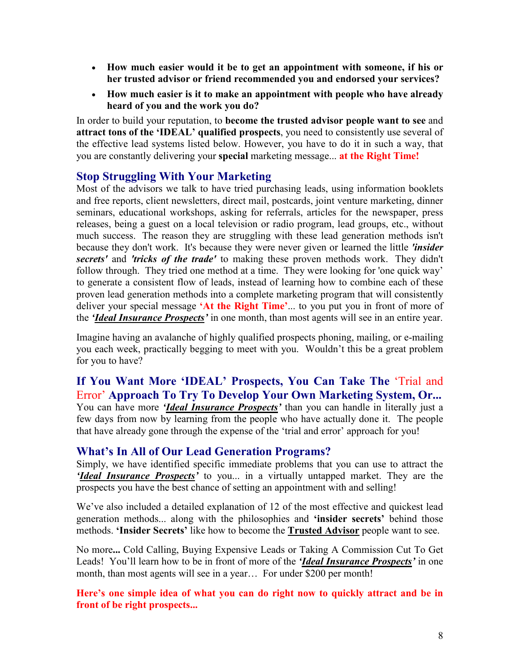- **How much easier would it be to get an appointment with someone, if his or her trusted advisor or friend recommended you and endorsed your services?**
- **How much easier is it to make an appointment with people who have already heard of you and the work you do?**

In order to build your reputation, to **become the trusted advisor people want to see** and **attract tons of the 'IDEAL' qualified prospects**, you need to consistently use several of the effective lead systems listed below. However, you have to do it in such a way, that you are constantly delivering your **special** marketing message... **at the Right Time!** 

#### **Stop Struggling With Your Marketing**

Most of the advisors we talk to have tried purchasing leads, using information booklets and free reports, client newsletters, direct mail, postcards, joint venture marketing, dinner seminars, educational workshops, asking for referrals, articles for the newspaper, press releases, being a guest on a local television or radio program, lead groups, etc., without much success. The reason they are struggling with these lead generation methods isn't because they don't work. It's because they were never given or learned the little *'insider secrets'* and *'tricks of the trade'* to making these proven methods work. They didn't follow through. They tried one method at a time. They were looking for 'one quick way' to generate a consistent flow of leads, instead of learning how to combine each of these proven lead generation methods into a complete marketing program that will consistently deliver your special message **'At the Right Time'**... to you put you in front of more of the *'Ideal Insurance Prospects'* in one month, than most agents will see in an entire year.

Imagine having an avalanche of highly qualified prospects phoning, mailing, or e-mailing you each week, practically begging to meet with you. Wouldn't this be a great problem for you to have?

**If You Want More 'IDEAL' Prospects, You Can Take The** 'Trial and Error' **Approach To Try To Develop Your Own Marketing System, Or...**  You can have more *'Ideal Insurance Prospects'* than you can handle in literally just a few days from now by learning from the people who have actually done it. The people that have already gone through the expense of the 'trial and error' approach for you!

#### **What's In All of Our Lead Generation Programs?**

Simply, we have identified specific immediate problems that you can use to attract the *'Ideal Insurance Prospects'* to you... in a virtually untapped market. They are the prospects you have the best chance of setting an appointment with and selling!

We've also included a detailed explanation of 12 of the most effective and quickest lead generation methods... along with the philosophies and **'insider secrets'** behind those methods. **'Insider Secrets'** like how to become the **Trusted Advisor** people want to see.

No more**...** Cold Calling, Buying Expensive Leads or Taking A Commission Cut To Get Leads! You'll learn how to be in front of more of the *'Ideal Insurance Prospects'* in one month, than most agents will see in a year... For under \$200 per month!

**Here's one simple idea of what you can do right now to quickly attract and be in front of be right prospects...**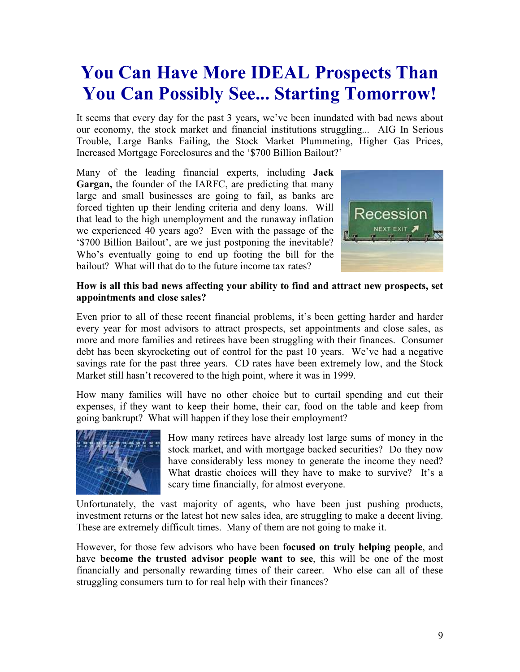## **You Can Have More IDEAL Prospects Than You Can Possibly See... Starting Tomorrow!**

It seems that every day for the past 3 years, we've been inundated with bad news about our economy, the stock market and financial institutions struggling... AIG In Serious Trouble, Large Banks Failing, the Stock Market Plummeting, Higher Gas Prices, Increased Mortgage Foreclosures and the '\$700 Billion Bailout?'

Many of the leading financial experts, including **Jack Gargan,** the founder of the IARFC, are predicting that many large and small businesses are going to fail, as banks are forced tighten up their lending criteria and deny loans. Will that lead to the high unemployment and the runaway inflation we experienced 40 years ago? Even with the passage of the '\$700 Billion Bailout', are we just postponing the inevitable? Who's eventually going to end up footing the bill for the bailout? What will that do to the future income tax rates?



#### **How is all this bad news affecting your ability to find and attract new prospects, set appointments and close sales?**

Even prior to all of these recent financial problems, it's been getting harder and harder every year for most advisors to attract prospects, set appointments and close sales, as more and more families and retirees have been struggling with their finances. Consumer debt has been skyrocketing out of control for the past 10 years. We've had a negative savings rate for the past three years. CD rates have been extremely low, and the Stock Market still hasn't recovered to the high point, where it was in 1999.

How many families will have no other choice but to curtail spending and cut their expenses, if they want to keep their home, their car, food on the table and keep from going bankrupt? What will happen if they lose their employment?



How many retirees have already lost large sums of money in the stock market, and with mortgage backed securities? Do they now have considerably less money to generate the income they need? What drastic choices will they have to make to survive? It's a scary time financially, for almost everyone.

Unfortunately, the vast majority of agents, who have been just pushing products, investment returns or the latest hot new sales idea, are struggling to make a decent living. These are extremely difficult times. Many of them are not going to make it.

However, for those few advisors who have been **focused on truly helping people**, and have **become the trusted advisor people want to see**, this will be one of the most financially and personally rewarding times of their career. Who else can all of these struggling consumers turn to for real help with their finances?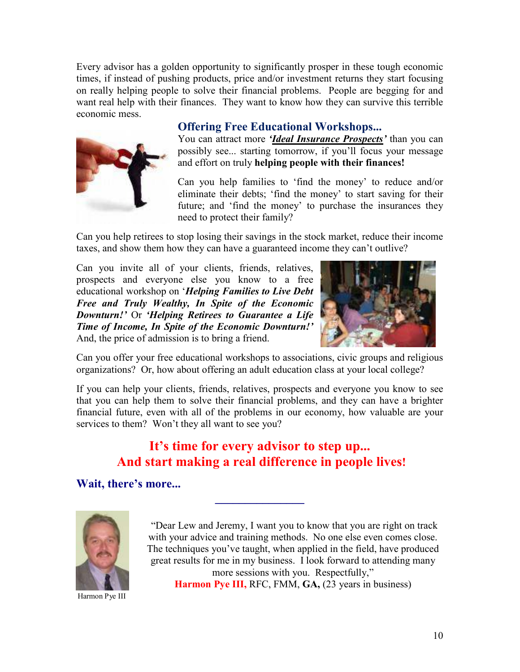Every advisor has a golden opportunity to significantly prosper in these tough economic times, if instead of pushing products, price and/or investment returns they start focusing on really helping people to solve their financial problems. People are begging for and want real help with their finances. They want to know how they can survive this terrible economic mess.



#### **Offering Free Educational Workshops...**

You can attract more *'Ideal Insurance Prospects'* than you can possibly see... starting tomorrow, if you'll focus your message and effort on truly **helping people with their finances!**

Can you help families to 'find the money' to reduce and/or eliminate their debts; 'find the money' to start saving for their future; and 'find the money' to purchase the insurances they need to protect their family?

Can you help retirees to stop losing their savings in the stock market, reduce their income taxes, and show them how they can have a guaranteed income they can't outlive?

Can you invite all of your clients, friends, relatives, prospects and everyone else you know to a free educational workshop on '*Helping Families to Live Debt Free and Truly Wealthy, In Spite of the Economic Downturn!'* Or *'Helping Retirees to Guarantee a Life Time of Income, In Spite of the Economic Downturn!'*  And, the price of admission is to bring a friend.



Can you offer your free educational workshops to associations, civic groups and religious organizations? Or, how about offering an adult education class at your local college?

If you can help your clients, friends, relatives, prospects and everyone you know to see that you can help them to solve their financial problems, and they can have a brighter financial future, even with all of the problems in our economy, how valuable are your services to them? Won't they all want to see you?

#### **It's time for every advisor to step up... And start making a real difference in people lives!**

**\_\_\_\_\_\_\_\_\_\_\_\_\_\_\_** 

**Wait, there's more...** 



Harmon Pye III

"Dear Lew and Jeremy, I want you to know that you are right on track with your advice and training methods. No one else even comes close. The techniques you've taught, when applied in the field, have produced great results for me in my business. I look forward to attending many more sessions with you. Respectfully," **Harmon Pye III, RFC, FMM, GA, (23 years in business)**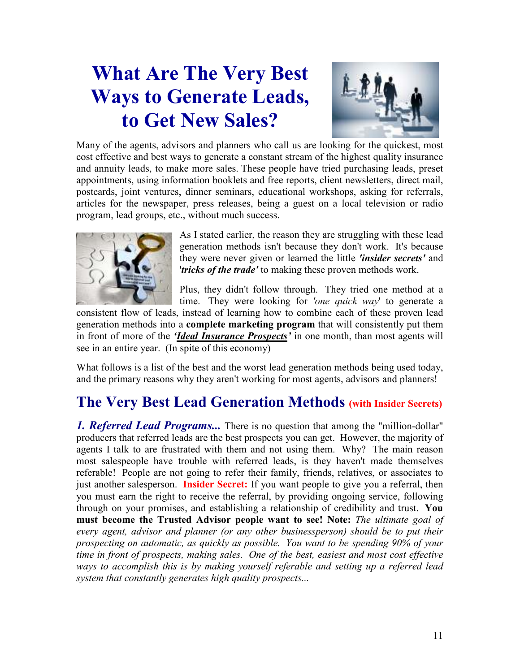## **What Are The Very Best Ways to Generate Leads, to Get New Sales?**



Many of the agents, advisors and planners who call us are looking for the quickest, most cost effective and best ways to generate a constant stream of the highest quality insurance and annuity leads, to make more sales. These people have tried purchasing leads, preset appointments, using information booklets and free reports, client newsletters, direct mail, postcards, joint ventures, dinner seminars, educational workshops, asking for referrals, articles for the newspaper, press releases, being a guest on a local television or radio program, lead groups, etc., without much success.



As I stated earlier, the reason they are struggling with these lead generation methods isn't because they don't work. It's because they were never given or learned the little *'insider secrets'* and '*tricks of the trade'* to making these proven methods work.

Plus, they didn't follow through. They tried one method at a time. They were looking for *'one quick way*' to generate a

consistent flow of leads, instead of learning how to combine each of these proven lead generation methods into a **complete marketing program** that will consistently put them in front of more of the *'Ideal Insurance Prospects'* in one month, than most agents will see in an entire year. (In spite of this economy)

What follows is a list of the best and the worst lead generation methods being used today, and the primary reasons why they aren't working for most agents, advisors and planners!

### **The Very Best Lead Generation Methods (with Insider Secrets)**

*1. Referred Lead Programs...* There is no question that among the "million-dollar" producers that referred leads are the best prospects you can get. However, the majority of agents I talk to are frustrated with them and not using them. Why? The main reason most salespeople have trouble with referred leads, is they haven't made themselves referable! People are not going to refer their family, friends, relatives, or associates to just another salesperson. **Insider Secret:** If you want people to give you a referral, then you must earn the right to receive the referral, by providing ongoing service, following through on your promises, and establishing a relationship of credibility and trust. **You must become the Trusted Advisor people want to see! Note:** *The ultimate goal of every agent, advisor and planner (or any other businessperson) should be to put their prospecting on automatic, as quickly as possible. You want to be spending 90% of your time in front of prospects, making sales. One of the best, easiest and most cost effective ways to accomplish this is by making yourself referable and setting up a referred lead system that constantly generates high quality prospects...*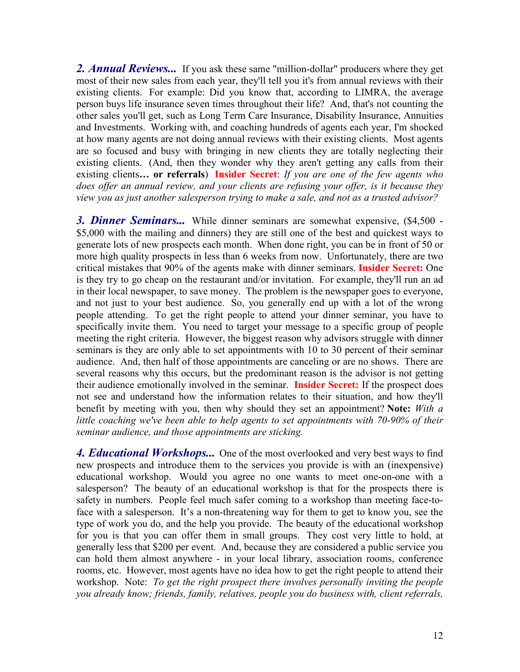2. **Annual Reviews...** If you ask these same "million-dollar" producers where they get most of their new sales from each year, they'll tell you it's from annual reviews with their existing clients. For example: Did you know that, according to LIMRA, the average person buys life insurance seven times throughout their life? And, that's not counting the other sales you'll get, such as Long Term Care Insurance, Disability Insurance, Annuities and Investments. Working with, and coaching hundreds of agents each year, I'm shocked at how many agents are not doing annual reviews with their existing clients. Most agents are so focused and busy with bringing in new clients they are totally neglecting their existing clients. (And, then they wonder why they aren't getting any calls from their existing clients**… or referrals**) **Insider Secret**: *If you are one of the few agents who does offer an annual review, and your clients are refusing your offer, is it because they view you as just another salesperson trying to make a sale, and not as a trusted advisor?* 

*3. Dinner Seminars...* While dinner seminars are somewhat expensive, (\$4,500 - \$5,000 with the mailing and dinners) they are still one of the best and quickest ways to generate lots of new prospects each month. When done right, you can be in front of 50 or more high quality prospects in less than 6 weeks from now. Unfortunately, there are two critical mistakes that 90% of the agents make with dinner seminars. **Insider Secret:** One is they try to go cheap on the restaurant and/or invitation. For example, they'll run an ad in their local newspaper, to save money. The problem is the newspaper goes to everyone, and not just to your best audience. So, you generally end up with a lot of the wrong people attending. To get the right people to attend your dinner seminar, you have to specifically invite them. You need to target your message to a specific group of people meeting the right criteria. However, the biggest reason why advisors struggle with dinner seminars is they are only able to set appointments with 10 to 30 percent of their seminar audience. And, then half of those appointments are canceling or are no shows. There are several reasons why this occurs, but the predominant reason is the advisor is not getting their audience emotionally involved in the seminar. **Insider Secret:** If the prospect does not see and understand how the information relates to their situation, and how they'll benefit by meeting with you, then why should they set an appointment? **Note:** *With a little coaching we've been able to help agents to set appointments with 70-90% of their seminar audience, and those appointments are sticking.* 

**4. Educational Workshops...** One of the most overlooked and very best ways to find new prospects and introduce them to the services you provide is with an (inexpensive) educational workshop. Would you agree no one wants to meet one-on-one with a salesperson? The beauty of an educational workshop is that for the prospects there is safety in numbers. People feel much safer coming to a workshop than meeting face-toface with a salesperson. It's a non-threatening way for them to get to know you, see the type of work you do, and the help you provide. The beauty of the educational workshop for you is that you can offer them in small groups. They cost very little to hold, at generally less that \$200 per event. And, because they are considered a public service you can hold them almost anywhere - in your local library, association rooms, conference rooms, etc. However, most agents have no idea how to get the right people to attend their workshop. Note: *To get the right prospect there involves personally inviting the people you already know; friends, family, relatives, people you do business with, client referrals,*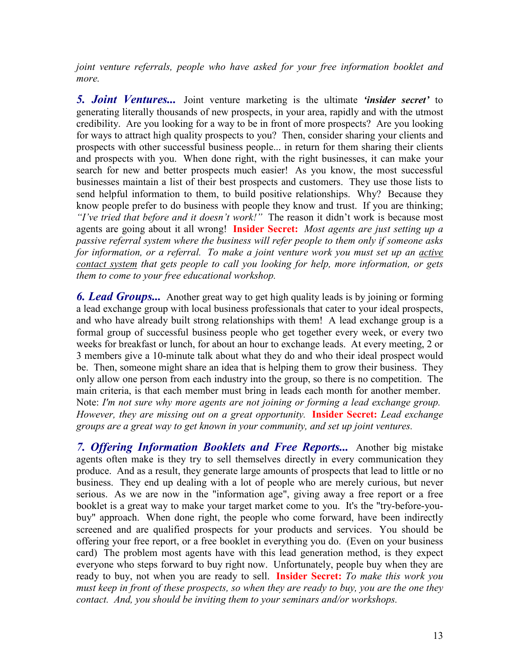*joint venture referrals, people who have asked for your free information booklet and more.*

*5. Joint Ventures...* Joint venture marketing is the ultimate *'insider secret'* to generating literally thousands of new prospects, in your area, rapidly and with the utmost credibility. Are you looking for a way to be in front of more prospects? Are you looking for ways to attract high quality prospects to you? Then, consider sharing your clients and prospects with other successful business people... in return for them sharing their clients and prospects with you. When done right, with the right businesses, it can make your search for new and better prospects much easier! As you know, the most successful businesses maintain a list of their best prospects and customers. They use those lists to send helpful information to them, to build positive relationships. Why? Because they know people prefer to do business with people they know and trust. If you are thinking; *"I've tried that before and it doesn't work!"* The reason it didn't work is because most agents are going about it all wrong! **Insider Secret:** *Most agents are just setting up a passive referral system where the business will refer people to them only if someone asks for information, or a referral. To make a joint venture work you must set up an active contact system that gets people to call you looking for help, more information, or gets them to come to your free educational workshop.*

*6. Lead Groups...* Another great way to get high quality leads is by joining or forming a lead exchange group with local business professionals that cater to your ideal prospects, and who have already built strong relationships with them! A lead exchange group is a formal group of successful business people who get together every week, or every two weeks for breakfast or lunch, for about an hour to exchange leads. At every meeting, 2 or 3 members give a 10-minute talk about what they do and who their ideal prospect would be. Then, someone might share an idea that is helping them to grow their business. They only allow one person from each industry into the group, so there is no competition. The main criteria, is that each member must bring in leads each month for another member. Note: *I'm not sure why more agents are not joining or forming a lead exchange group. However, they are missing out on a great opportunity.* **Insider Secret:** *Lead exchange groups are a great way to get known in your community, and set up joint ventures.* 

*7. Offering Information Booklets and Free Reports...* Another big mistake agents often make is they try to sell themselves directly in every communication they produce. And as a result, they generate large amounts of prospects that lead to little or no business. They end up dealing with a lot of people who are merely curious, but never serious. As we are now in the "information age", giving away a free report or a free booklet is a great way to make your target market come to you. It's the "try-before-youbuy" approach. When done right, the people who come forward, have been indirectly screened and are qualified prospects for your products and services. You should be offering your free report, or a free booklet in everything you do. (Even on your business card) The problem most agents have with this lead generation method, is they expect everyone who steps forward to buy right now. Unfortunately, people buy when they are ready to buy, not when you are ready to sell. **Insider Secret:** *To make this work you must keep in front of these prospects, so when they are ready to buy, you are the one they contact. And, you should be inviting them to your seminars and/or workshops.*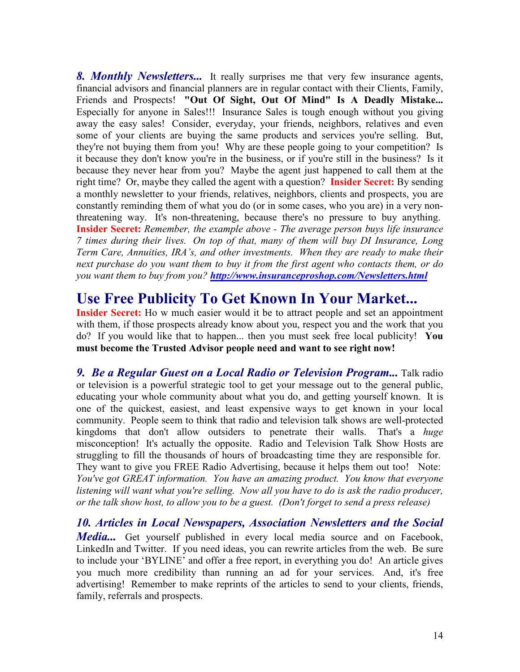*8. Monthly Newsletters...* It really surprises me that very few insurance agents, financial advisors and financial planners are in regular contact with their Clients, Family, Friends and Prospects! **"Out Of Sight, Out Of Mind" Is A Deadly Mistake...** Especially for anyone in Sales!!! Insurance Sales is tough enough without you giving away the easy sales! Consider, everyday, your friends, neighbors, relatives and even some of your clients are buying the same products and services you're selling. But, they're not buying them from you! Why are these people going to your competition? Is it because they don't know you're in the business, or if you're still in the business? Is it because they never hear from you? Maybe the agent just happened to call them at the right time? Or, maybe they called the agent with a question? **Insider Secret:** By sending a monthly newsletter to your friends, relatives, neighbors, clients and prospects, you are constantly reminding them of what you do (or in some cases, who you are) in a very nonthreatening way. It's non-threatening, because there's no pressure to buy anything. **Insider Secret:** *Remember, the example above - The average person buys life insurance 7 times during their lives. On top of that, many of them will buy DI Insurance, Long Term Care, Annuities, IRA's, and other investments. When they are ready to make their next purchase do you want them to buy it from the first agent who contacts them, or do you want them to buy from you? http://www.insuranceproshop.com/Newsletters.html*

### **Use Free Publicity To Get Known In Your Market...**

**Insider Secret:** Ho w much easier would it be to attract people and set an appointment with them, if those prospects already know about you, respect you and the work that you do? If you would like that to happen... then you must seek free local publicity! **You must become the Trusted Advisor people need and want to see right now!** 

*9. Be a Regular Guest on a Local Radio or Television Program...* Talk radio or television is a powerful strategic tool to get your message out to the general public, educating your whole community about what you do, and getting yourself known. It is one of the quickest, easiest, and least expensive ways to get known in your local community. People seem to think that radio and television talk shows are well-protected kingdoms that don't allow outsiders to penetrate their walls. That's a *huge*  misconception! It's actually the opposite. Radio and Television Talk Show Hosts are struggling to fill the thousands of hours of broadcasting time they are responsible for. They want to give you FREE Radio Advertising, because it helps them out too! Note: *You've got GREAT information. You have an amazing product. You know that everyone*  listening will want what you're selling. Now all you have to do is ask the radio producer, *or the talk show host, to allow you to be a guest. (Don't forget to send a press release)* 

*10. Articles in Local Newspapers, Association Newsletters and the Social Media...* Get yourself published in every local media source and on Facebook, LinkedIn and Twitter. If you need ideas, you can rewrite articles from the web. Be sure to include your 'BYLINE' and offer a free report, in everything you do! An article gives you much more credibility than running an ad for your services. And, it's free advertising! Remember to make reprints of the articles to send to your clients, friends, family, referrals and prospects.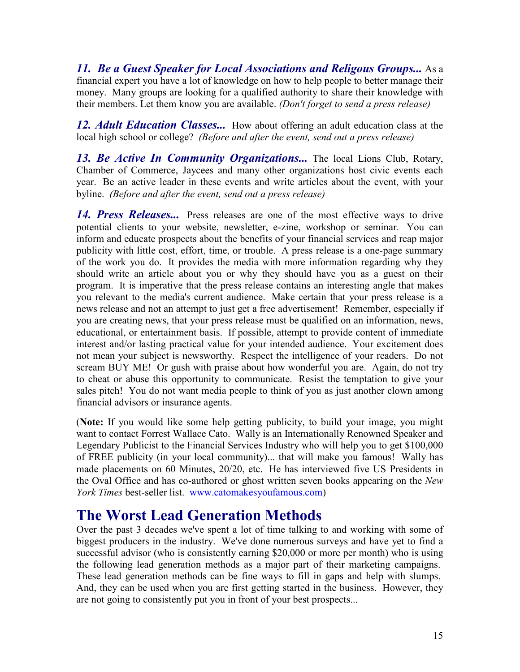*11. Be a Guest Speaker for Local Associations and Religous Groups...* As a financial expert you have a lot of knowledge on how to help people to better manage their money. Many groups are looking for a qualified authority to share their knowledge with their members. Let them know you are available. *(Don't forget to send a press release)* 

12. Adult Education Classes... How about offering an adult education class at the local high school or college? *(Before and after the event, send out a press release)* 

13. Be Active In Community Organizations... The local Lions Club, Rotary, Chamber of Commerce, Jaycees and many other organizations host civic events each year. Be an active leader in these events and write articles about the event, with your byline. *(Before and after the event, send out a press release)* 

*14. Press Releases...* Press releases are one of the most effective ways to drive potential clients to your website, newsletter, e-zine, workshop or seminar. You can inform and educate prospects about the benefits of your financial services and reap major publicity with little cost, effort, time, or trouble. A press release is a one-page summary of the work you do. It provides the media with more information regarding why they should write an article about you or why they should have you as a guest on their program. It is imperative that the press release contains an interesting angle that makes you relevant to the media's current audience. Make certain that your press release is a news release and not an attempt to just get a free advertisement! Remember, especially if you are creating news, that your press release must be qualified on an information, news, educational, or entertainment basis. If possible, attempt to provide content of immediate interest and/or lasting practical value for your intended audience. Your excitement does not mean your subject is newsworthy. Respect the intelligence of your readers. Do not scream BUY ME! Or gush with praise about how wonderful you are. Again, do not try to cheat or abuse this opportunity to communicate. Resist the temptation to give your sales pitch! You do not want media people to think of you as just another clown among financial advisors or insurance agents.

(**Note:** If you would like some help getting publicity, to build your image, you might want to contact Forrest Wallace Cato. Wally is an Internationally Renowned Speaker and Legendary Publicist to the Financial Services Industry who will help you to get \$100,000 of FREE publicity (in your local community)... that will make you famous! Wally has made placements on 60 Minutes, 20/20, etc. He has interviewed five US Presidents in the Oval Office and has co-authored or ghost written seven books appearing on the *New York Times* best-seller list. www.catomakesyoufamous.com)

### **The Worst Lead Generation Methods**

Over the past 3 decades we've spent a lot of time talking to and working with some of biggest producers in the industry. We've done numerous surveys and have yet to find a successful advisor (who is consistently earning \$20,000 or more per month) who is using the following lead generation methods as a major part of their marketing campaigns. These lead generation methods can be fine ways to fill in gaps and help with slumps. And, they can be used when you are first getting started in the business. However, they are not going to consistently put you in front of your best prospects...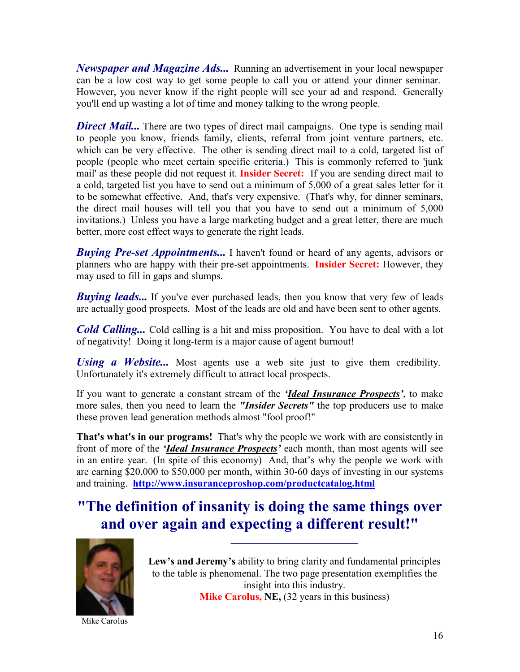*Newspaper and Magazine Ads...* Running an advertisement in your local newspaper can be a low cost way to get some people to call you or attend your dinner seminar. However, you never know if the right people will see your ad and respond. Generally you'll end up wasting a lot of time and money talking to the wrong people.

**Direct Mail...** There are two types of direct mail campaigns. One type is sending mail to people you know, friends family, clients, referral from joint venture partners, etc. which can be very effective. The other is sending direct mail to a cold, targeted list of people (people who meet certain specific criteria.) This is commonly referred to 'junk mail' as these people did not request it. **Insider Secret:** If you are sending direct mail to a cold, targeted list you have to send out a minimum of 5,000 of a great sales letter for it to be somewhat effective. And, that's very expensive. (That's why, for dinner seminars, the direct mail houses will tell you that you have to send out a minimum of 5,000 invitations.) Unless you have a large marketing budget and a great letter, there are much better, more cost effect ways to generate the right leads.

*Buying Pre-set Appointments...* I haven't found or heard of any agents, advisors or planners who are happy with their pre-set appointments. **Insider Secret:** However, they may used to fill in gaps and slumps.

*Buying leads...* If you've ever purchased leads, then you know that very few of leads are actually good prospects. Most of the leads are old and have been sent to other agents.

*Cold Calling...* Cold calling is a hit and miss proposition. You have to deal with a lot of negativity! Doing it long-term is a major cause of agent burnout!

*Using a Website...* Most agents use a web site just to give them credibility. Unfortunately it's extremely difficult to attract local prospects.

If you want to generate a constant stream of the *'Ideal Insurance Prospects'*, to make more sales, then you need to learn the *"Insider Secrets"* the top producers use to make these proven lead generation methods almost "fool proof!"

**That's what's in our programs!** That's why the people we work with are consistently in front of more of the *'Ideal Insurance Prospects'* each month, than most agents will see in an entire year. (In spite of this economy) And, that's why the people we work with are earning \$20,000 to \$50,000 per month, within 30-60 days of investing in our systems and training. **http://www.insuranceproshop.com/productcatalog.html**

### **"The definition of insanity is doing the same things over and over again and expecting a different result!"**



Mike Carolus

**Lew's and Jeremy's** ability to bring clarity and fundamental principles to the table is phenomenal. The two page presentation exemplifies the insight into this industry. **Mike Carolus, NE,** (32 years in this business)

**\_\_\_\_\_\_\_\_\_\_\_\_\_\_\_\_\_\_\_\_\_\_\_\_\_**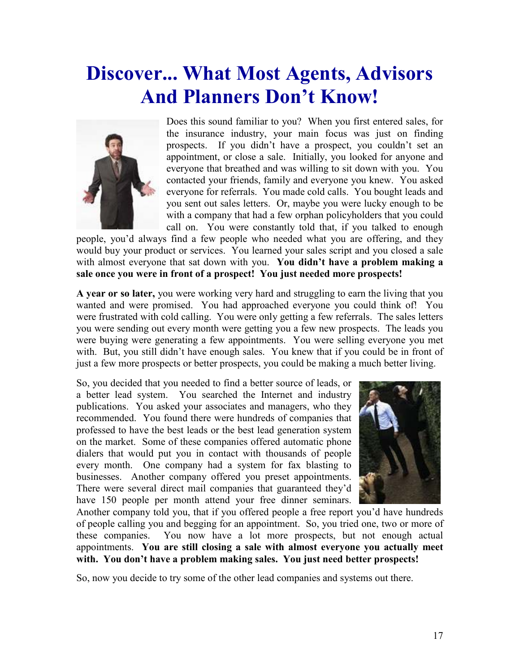## **Discover... What Most Agents, Advisors And Planners Don't Know!**



Does this sound familiar to you? When you first entered sales, for the insurance industry, your main focus was just on finding prospects. If you didn't have a prospect, you couldn't set an appointment, or close a sale. Initially, you looked for anyone and everyone that breathed and was willing to sit down with you. You contacted your friends, family and everyone you knew. You asked everyone for referrals. You made cold calls. You bought leads and you sent out sales letters. Or, maybe you were lucky enough to be with a company that had a few orphan policyholders that you could call on. You were constantly told that, if you talked to enough

people, you'd always find a few people who needed what you are offering, and they would buy your product or services. You learned your sales script and you closed a sale with almost everyone that sat down with you. **You didn't have a problem making a sale once you were in front of a prospect! You just needed more prospects!**

**A year or so later,** you were working very hard and struggling to earn the living that you wanted and were promised. You had approached everyone you could think of! You were frustrated with cold calling. You were only getting a few referrals. The sales letters you were sending out every month were getting you a few new prospects. The leads you were buying were generating a few appointments. You were selling everyone you met with. But, you still didn't have enough sales. You knew that if you could be in front of just a few more prospects or better prospects, you could be making a much better living.

So, you decided that you needed to find a better source of leads, or a better lead system. You searched the Internet and industry publications. You asked your associates and managers, who they recommended. You found there were hundreds of companies that professed to have the best leads or the best lead generation system on the market. Some of these companies offered automatic phone dialers that would put you in contact with thousands of people every month. One company had a system for fax blasting to businesses. Another company offered you preset appointments. There were several direct mail companies that guaranteed they'd have 150 people per month attend your free dinner seminars.



Another company told you, that if you offered people a free report you'd have hundreds of people calling you and begging for an appointment. So, you tried one, two or more of these companies. You now have a lot more prospects, but not enough actual appointments. **You are still closing a sale with almost everyone you actually meet with. You don't have a problem making sales. You just need better prospects!**

So, now you decide to try some of the other lead companies and systems out there.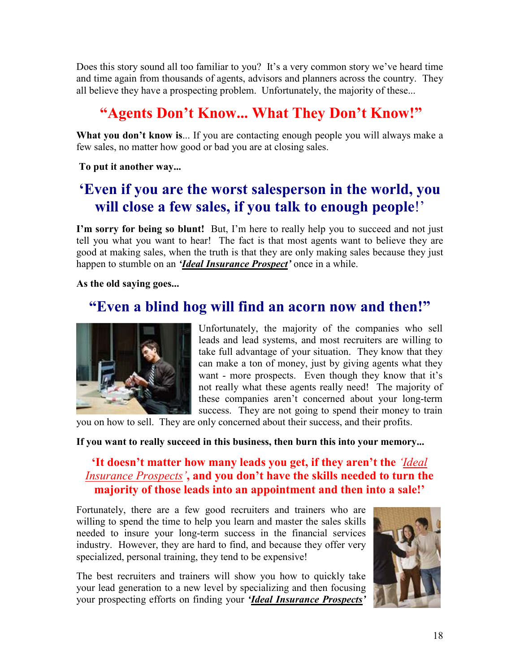Does this story sound all too familiar to you? It's a very common story we've heard time and time again from thousands of agents, advisors and planners across the country. They all believe they have a prospecting problem. Unfortunately, the majority of these...

### **"Agents Don't Know... What They Don't Know!"**

**What you don't know is**... If you are contacting enough people you will always make a few sales, no matter how good or bad you are at closing sales.

 **To put it another way...** 

### **'Even if you are the worst salesperson in the world, you will close a few sales, if you talk to enough people**!'

**I'm sorry for being so blunt!** But, I'm here to really help you to succeed and not just tell you what you want to hear! The fact is that most agents want to believe they are good at making sales, when the truth is that they are only making sales because they just happen to stumble on an *'Ideal Insurance Prospect'* once in a while.

**As the old saying goes...** 

### **"Even a blind hog will find an acorn now and then!"**



Unfortunately, the majority of the companies who sell leads and lead systems, and most recruiters are willing to take full advantage of your situation. They know that they can make a ton of money, just by giving agents what they want - more prospects. Even though they know that it's not really what these agents really need! The majority of these companies aren't concerned about your long-term success. They are not going to spend their money to train

you on how to sell. They are only concerned about their success, and their profits.

#### **If you want to really succeed in this business, then burn this into your memory...**

#### **'It doesn't matter how many leads you get, if they aren't the** *'Ideal Insurance Prospects'***, and you don't have the skills needed to turn the majority of those leads into an appointment and then into a sale!'**

Fortunately, there are a few good recruiters and trainers who are willing to spend the time to help you learn and master the sales skills needed to insure your long-term success in the financial services industry. However, they are hard to find, and because they offer very specialized, personal training, they tend to be expensive!

The best recruiters and trainers will show you how to quickly take your lead generation to a new level by specializing and then focusing your prospecting efforts on finding your *'Ideal Insurance Prospects'*

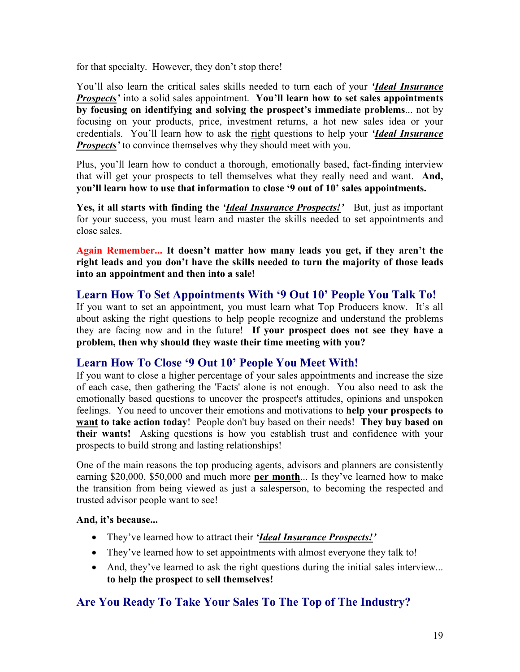for that specialty.However, they don't stop there!

You'll also learn the critical sales skills needed to turn each of your *'Ideal Insurance Prospects'* into a solid sales appointment. **You'll learn how to set sales appointments by focusing on identifying and solving the prospect's immediate problems**... not by focusing on your products, price, investment returns, a hot new sales idea or your credentials. You'll learn how to ask the right questions to help your *'Ideal Insurance Prospects'* to convince themselves why they should meet with you.

Plus, you'll learn how to conduct a thorough, emotionally based, fact-finding interview that will get your prospects to tell themselves what they really need and want. **And, you'll learn how to use that information to close '9 out of 10' sales appointments.** 

**Yes, it all starts with finding the** *'Ideal Insurance Prospects!'*But, just as important for your success, you must learn and master the skills needed to set appointments and close sales.

**Again Remember... It doesn't matter how many leads you get, if they aren't the right leads and you don't have the skills needed to turn the majority of those leads into an appointment and then into a sale!** 

#### **Learn How To Set Appointments With '9 Out 10' People You Talk To!**

If you want to set an appointment, you must learn what Top Producers know. It's all about asking the right questions to help people recognize and understand the problems they are facing now and in the future! **If your prospect does not see they have a problem, then why should they waste their time meeting with you?** 

#### **Learn How To Close '9 Out 10' People You Meet With!**

If you want to close a higher percentage of your sales appointments and increase the size of each case, then gathering the 'Facts' alone is not enough. You also need to ask the emotionally based questions to uncover the prospect's attitudes, opinions and unspoken feelings. You need to uncover their emotions and motivations to **help your prospects to want to take action today**! People don't buy based on their needs! **They buy based on their wants!** Asking questions is how you establish trust and confidence with your prospects to build strong and lasting relationships!

One of the main reasons the top producing agents, advisors and planners are consistently earning \$20,000, \$50,000 and much more **per month**... Is they've learned how to make the transition from being viewed as just a salesperson, to becoming the respected and trusted advisor people want to see!

#### **And, it's because...**

- They've learned how to attract their *'Ideal Insurance Prospects!'*
- They've learned how to set appointments with almost everyone they talk to!
- And, they've learned to ask the right questions during the initial sales interview... **to help the prospect to sell themselves!**

#### **Are You Ready To Take Your Sales To The Top of The Industry?**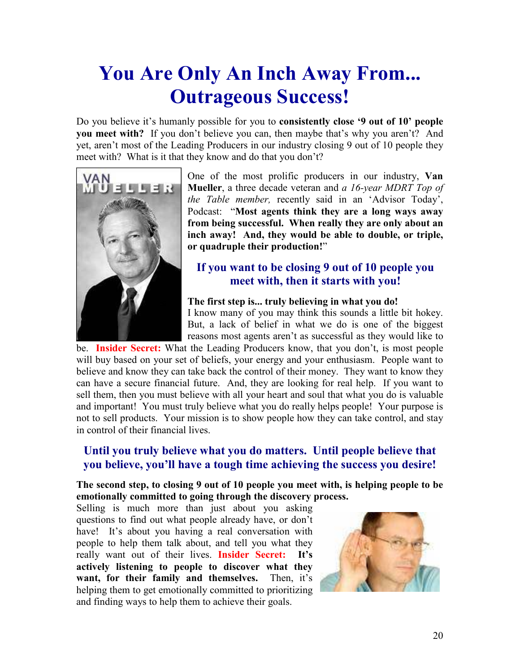## **You Are Only An Inch Away From... Outrageous Success!**

Do you believe it's humanly possible for you to **consistently close '9 out of 10' people you meet with?** If you don't believe you can, then maybe that's why you aren't? And yet, aren't most of the Leading Producers in our industry closing 9 out of 10 people they meet with? What is it that they know and do that you don't?



One of the most prolific producers in our industry, **Van Mueller**, a three decade veteran and *a 16-year MDRT Top of the Table member,* recently said in an 'Advisor Today', Podcast: "**Most agents think they are a long ways away from being successful. When really they are only about an inch away! And, they would be able to double, or triple, or quadruple their production!**"

#### **If you want to be closing 9 out of 10 people you meet with, then it starts with you!**

#### **The first step is... truly believing in what you do!**

I know many of you may think this sounds a little bit hokey. But, a lack of belief in what we do is one of the biggest reasons most agents aren't as successful as they would like to

be. **Insider Secret:** What the Leading Producers know, that you don't, is most people will buy based on your set of beliefs, your energy and your enthusiasm. People want to believe and know they can take back the control of their money. They want to know they can have a secure financial future. And, they are looking for real help. If you want to sell them, then you must believe with all your heart and soul that what you do is valuable and important! You must truly believe what you do really helps people! Your purpose is not to sell products. Your mission is to show people how they can take control, and stay in control of their financial lives.

#### **Until you truly believe what you do matters. Until people believe that you believe, you'll have a tough time achieving the success you desire!**

#### **The second step, to closing 9 out of 10 people you meet with, is helping people to be emotionally committed to going through the discovery process.**

Selling is much more than just about you asking questions to find out what people already have, or don't have! It's about you having a real conversation with people to help them talk about, and tell you what they really want out of their lives. **Insider Secret: It's actively listening to people to discover what they want, for their family and themselves.** Then, it's helping them to get emotionally committed to prioritizing and finding ways to help them to achieve their goals.

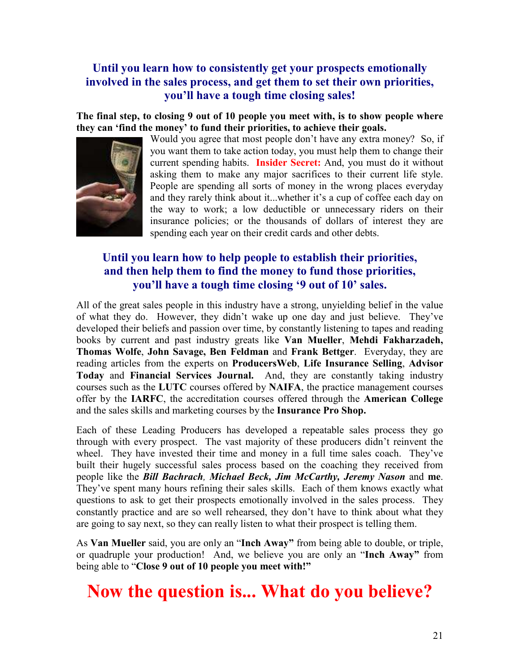#### **Until you learn how to consistently get your prospects emotionally involved in the sales process, and get them to set their own priorities, you'll have a tough time closing sales!**

**The final step, to closing 9 out of 10 people you meet with, is to show people where they can 'find the money' to fund their priorities, to achieve their goals.** 



Would you agree that most people don't have any extra money? So, if you want them to take action today, you must help them to change their current spending habits. **Insider Secret:** And, you must do it without asking them to make any major sacrifices to their current life style. People are spending all sorts of money in the wrong places everyday and they rarely think about it...whether it's a cup of coffee each day on the way to work; a low deductible or unnecessary riders on their insurance policies; or the thousands of dollars of interest they are spending each year on their credit cards and other debts.

#### **Until you learn how to help people to establish their priorities, and then help them to find the money to fund those priorities, you'll have a tough time closing '9 out of 10' sales.**

All of the great sales people in this industry have a strong, unyielding belief in the value of what they do. However, they didn't wake up one day and just believe. They've developed their beliefs and passion over time, by constantly listening to tapes and reading books by current and past industry greats like **Van Mueller**, **Mehdi Fakharzadeh, Thomas Wolfe**, **John Savage, Ben Feldman** and **Frank Bettger**. Everyday, they are reading articles from the experts on **ProducersWeb**, **Life Insurance Selling**, **Advisor Today** and **Financial Services Journal.** And, they are constantly taking industry courses such as the **LUTC** courses offered by **NAIFA**, the practice management courses offer by the **IARFC**, the accreditation courses offered through the **American College**  and the sales skills and marketing courses by the **Insurance Pro Shop.**

Each of these Leading Producers has developed a repeatable sales process they go through with every prospect. The vast majority of these producers didn't reinvent the wheel. They have invested their time and money in a full time sales coach. They've built their hugely successful sales process based on the coaching they received from people like the *Bill Bachrach, Michael Beck, Jim McCarthy, Jeremy Nason* and **me**. They've spent many hours refining their sales skills. Each of them knows exactly what questions to ask to get their prospects emotionally involved in the sales process. They constantly practice and are so well rehearsed, they don't have to think about what they are going to say next, so they can really listen to what their prospect is telling them.

As **Van Mueller** said, you are only an "**Inch Away"** from being able to double, or triple, or quadruple your production! And, we believe you are only an "**Inch Away"** from being able to "**Close 9 out of 10 people you meet with!"**

## **Now the question is... What do you believe?**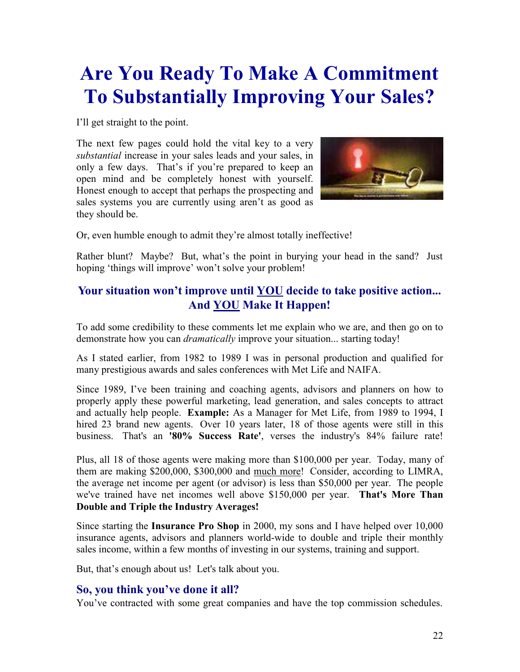## **Are You Ready To Make A Commitment To Substantially Improving Your Sales?**

I'll get straight to the point.

The next few pages could hold the vital key to a very *substantial* increase in your sales leads and your sales, in only a few days. That's if you're prepared to keep an open mind and be completely honest with yourself. Honest enough to accept that perhaps the prospecting and sales systems you are currently using aren't as good as they should be.



Or, even humble enough to admit they're almost totally ineffective!

Rather blunt? Maybe? But, what's the point in burying your head in the sand?Just hoping 'things will improve' won't solve your problem!

#### **Your situation won't improve until YOU decide to take positive action... And YOU Make It Happen!**

To add some credibility to these comments let me explain who we are, and then go on to demonstrate how you can *dramatically* improve your situation... starting today!

As I stated earlier, from 1982 to 1989 I was in personal production and qualified for many prestigious awards and sales conferences with Met Life and NAIFA.

Since 1989, I've been training and coaching agents, advisors and planners on how to properly apply these powerful marketing, lead generation, and sales concepts to attract and actually help people. **Example:** As a Manager for Met Life, from 1989 to 1994, I hired 23 brand new agents. Over 10 years later, 18 of those agents were still in this business. That's an **'80% Success Rate'**, verses the industry's 84% failure rate!

Plus, all 18 of those agents were making more than \$100,000 per year. Today, many of them are making \$200,000, \$300,000 and much more! Consider, according to LIMRA, the average net income per agent (or advisor) is less than \$50,000 per year. The people we've trained have net incomes well above \$150,000 per year. **That's More Than Double and Triple the Industry Averages!**

Since starting the **Insurance Pro Shop** in 2000, my sons and I have helped over 10,000 insurance agents, advisors and planners world-wide to double and triple their monthly sales income, within a few months of investing in our systems, training and support.

But, that's enough about us! Let's talk about you.

#### **So, you think you've done it all?**

You've contracted with some great companies and have the top commission schedules.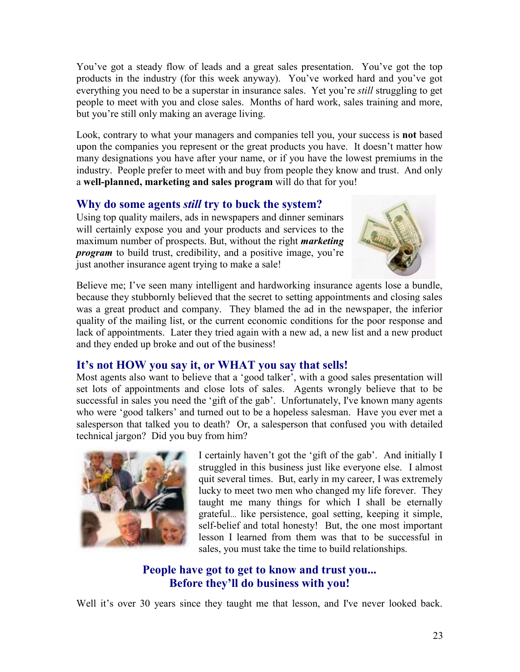You've got a steady flow of leads and a great sales presentation. You've got the top products in the industry (for this week anyway). You've worked hard and you've got everything you need to be a superstar in insurance sales. Yet you're *still* struggling to get people to meet with you and close sales. Months of hard work, sales training and more, but you're still only making an average living.

Look, contrary to what your managers and companies tell you, your success is **not** based upon the companies you represent or the great products you have. It doesn't matter how many designations you have after your name, or if you have the lowest premiums in the industry. People prefer to meet with and buy from people they know and trust. And only a **well-planned, marketing and sales program** will do that for you!

#### **Why do some agents** *still* **try to buck the system?**

Using top quality mailers, ads in newspapers and dinner seminars will certainly expose you and your products and services to the maximum number of prospects. But, without the right *marketing program* to build trust, credibility, and a positive image, you're just another insurance agent trying to make a sale!



Believe me; I've seen many intelligent and hardworking insurance agents lose a bundle, because they stubbornly believed that the secret to setting appointments and closing sales was a great product and company. They blamed the ad in the newspaper, the inferior quality of the mailing list, or the current economic conditions for the poor response and lack of appointments. Later they tried again with a new ad, a new list and a new product and they ended up broke and out of the business!

#### **It's not HOW you say it, or WHAT you say that sells!**

Most agents also want to believe that a 'good talker', with a good sales presentation will set lots of appointments and close lots of sales. Agents wrongly believe that to be successful in sales you need the 'gift of the gab'. Unfortunately, I've known many agents who were 'good talkers' and turned out to be a hopeless salesman. Have you ever met a salesperson that talked you to death? Or, a salesperson that confused you with detailed technical jargon? Did you buy from him?



I certainly haven't got the 'gift of the gab'. And initially I struggled in this business just like everyone else. I almost quit several times. But, early in my career, I was extremely lucky to meet two men who changed my life forever. They taught me many things for which I shall be eternally grateful... like persistence, goal setting, keeping it simple, self-belief and total honesty! But, the one most important lesson I learned from them was that to be successful in sales, you must take the time to build relationships.

#### **People have got to get to know and trust you... Before they'll do business with you!**

Well it's over 30 years since they taught me that lesson, and I've never looked back.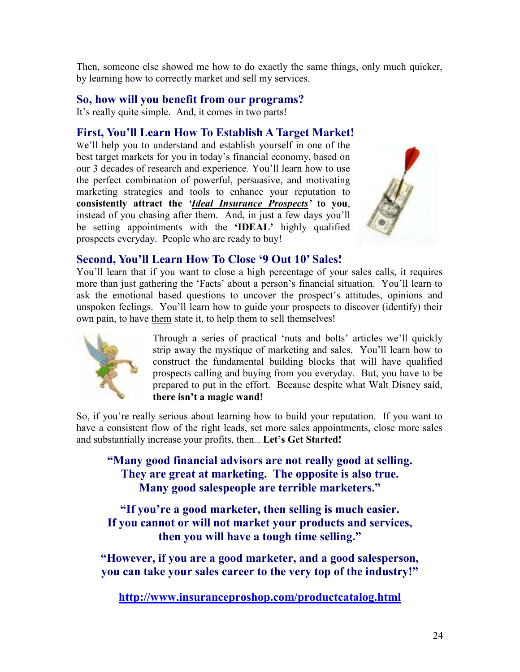Then, someone else showed me how to do exactly the same things, only much quicker, by learning how to correctly market and sell my services.

#### **So, how will you benefit from our programs?**

It's really quite simple. And, it comes in two parts!

#### **First, You'll Learn How To Establish A Target Market!**

We'll help you to understand and establish yourself in one of the best target markets for you in today's financial economy, based on our 3 decades of research and experience. You'll learn how to use the perfect combination of powerful, persuasive, and motivating marketing strategies and tools to enhance your reputation to **consistently attract the** *'Ideal Insurance Prospects'* **to you**, instead of you chasing after them. And, in just a few days you'll be setting appointments with the **'IDEAL'** highly qualified prospects everyday. People who are ready to buy!



#### **Second, You'll Learn How To Close '9 Out 10' Sales!**

You'll learn that if you want to close a high percentage of your sales calls, it requires more than just gathering the 'Facts' about a person's financial situation. You'll learn to ask the emotional based questions to uncover the prospect's attitudes, opinions and unspoken feelings. You'll learn how to guide your prospects to discover (identify) their own pain, to have them state it, to help them to sell themselves!



Through a series of practical 'nuts and bolts' articles we'll quickly strip away the mystique of marketing and sales. You'll learn how to construct the fundamental building blocks that will have qualified prospects calling and buying from you everyday. But, you have to be prepared to put in the effort. Because despite what Walt Disney said, **there isn't a magic wand!**

So, if you're really serious about learning how to build your reputation. If you want to have a consistent flow of the right leads, set more sales appointments, close more sales and substantially increase your profits, then... **Let's Get Started!** 

**"Many good financial advisors are not really good at selling. They are great at marketing. The opposite is also true. Many good salespeople are terrible marketers."**

**"If you're a good marketer, then selling is much easier. If you cannot or will not market your products and services, then you will have a tough time selling."**

**"However, if you are a good marketer, and a good salesperson, you can take your sales career to the very top of the industry!"** 

**http://www.insuranceproshop.com/productcatalog.html**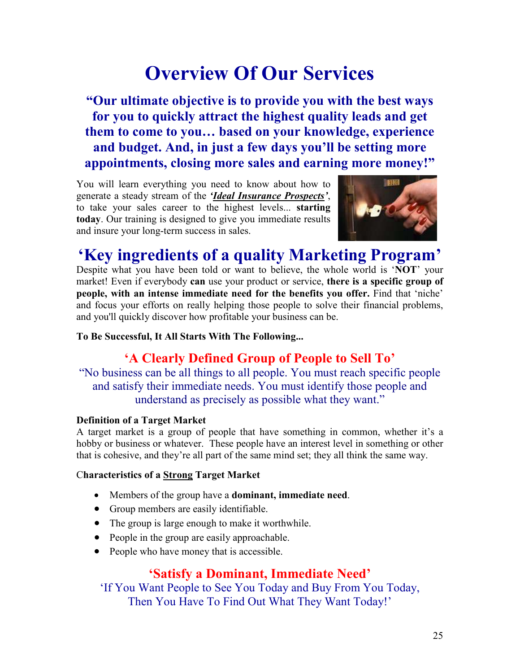## **Overview Of Our Services**

**"Our ultimate objective is to provide you with the best ways for you to quickly attract the highest quality leads and get them to come to you… based on your knowledge, experience and budget. And, in just a few days you'll be setting more appointments, closing more sales and earning more money!"** 

You will learn everything you need to know about how to generate a steady stream of the *'Ideal Insurance Prospects'*, to take your sales career to the highest levels... **starting today**. Our training is designed to give you immediate results and insure your long-term success in sales.



## **'Key ingredients of a quality Marketing Program'**

Despite what you have been told or want to believe, the whole world is '**NOT**' your market! Even if everybody **can** use your product or service, **there is a specific group of people, with an intense immediate need for the benefits you offer.** Find that 'niche' and focus your efforts on really helping those people to solve their financial problems, and you'll quickly discover how profitable your business can be.

#### **To Be Successful, It All Starts With The Following...**

#### **'A Clearly Defined Group of People to Sell To'**

"No business can be all things to all people. You must reach specific people and satisfy their immediate needs. You must identify those people and understand as precisely as possible what they want."

#### **Definition of a Target Market**

A target market is a group of people that have something in common, whether it's a hobby or business or whatever. These people have an interest level in something or other that is cohesive, and they're all part of the same mind set; they all think the same way.

#### C**haracteristics of a Strong Target Market**

- Members of the group have a **dominant, immediate need**.
- Group members are easily identifiable.
- The group is large enough to make it worthwhile.
- People in the group are easily approachable.
- People who have money that is accessible.

#### **'Satisfy a Dominant, Immediate Need'**

'If You Want People to See You Today and Buy From You Today, Then You Have To Find Out What They Want Today!'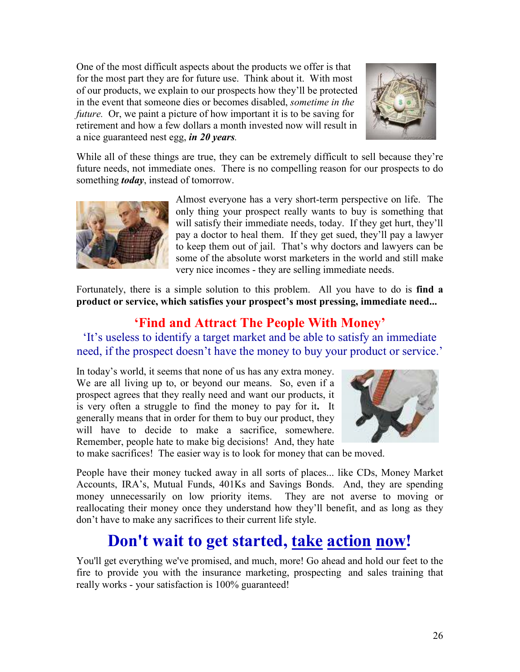One of the most difficult aspects about the products we offer is that for the most part they are for future use. Think about it. With most of our products, we explain to our prospects how they'll be protected in the event that someone dies or becomes disabled, *sometime in the future.* Or, we paint a picture of how important it is to be saving for retirement and how a few dollars a month invested now will result in a nice guaranteed nest egg, *in 20 years.* 



While all of these things are true, they can be extremely difficult to sell because they're future needs, not immediate ones. There is no compelling reason for our prospects to do something *today*, instead of tomorrow.



Almost everyone has a very short-term perspective on life. The only thing your prospect really wants to buy is something that will satisfy their immediate needs, today. If they get hurt, they'll pay a doctor to heal them. If they get sued, they'll pay a lawyer to keep them out of jail. That's why doctors and lawyers can be some of the absolute worst marketers in the world and still make very nice incomes - they are selling immediate needs.

Fortunately, there is a simple solution to this problem. All you have to do is **find a product or service, which satisfies your prospect's most pressing, immediate need...** 

### **'Find and Attract The People With Money'**

'It's useless to identify a target market and be able to satisfy an immediate need, if the prospect doesn't have the money to buy your product or service.'

In today's world, it seems that none of us has any extra money. We are all living up to, or beyond our means. So, even if a prospect agrees that they really need and want our products, it is very often a struggle to find the money to pay for it**.** It generally means that in order for them to buy our product, they will have to decide to make a sacrifice, somewhere. Remember, people hate to make big decisions! And, they hate



to make sacrifices! The easier way is to look for money that can be moved.

People have their money tucked away in all sorts of places... like CDs, Money Market Accounts, IRA's, Mutual Funds, 401Ks and Savings Bonds. And, they are spending money unnecessarily on low priority items. They are not averse to moving or reallocating their money once they understand how they'll benefit, and as long as they don't have to make any sacrifices to their current life style.

## **Don't wait to get started, take action now!**

You'll get everything we've promised, and much, more! Go ahead and hold our feet to the fire to provide you with the insurance marketing, prospecting and sales training that really works - your satisfaction is 100% guaranteed!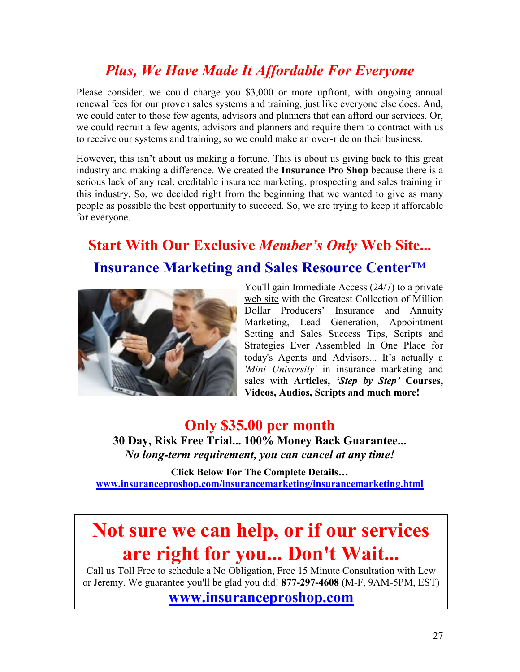## *Plus, We Have Made It Affordable For Everyone*

Please consider, we could charge you \$3,000 or more upfront, with ongoing annual renewal fees for our proven sales systems and training, just like everyone else does. And, we could cater to those few agents, advisors and planners that can afford our services. Or, we could recruit a few agents, advisors and planners and require them to contract with us to receive our systems and training, so we could make an over-ride on their business.

However, this isn't about us making a fortune. This is about us giving back to this great industry and making a difference. We created the **Insurance Pro Shop** because there is a serious lack of any real, creditable insurance marketing, prospecting and sales training in this industry. So, we decided right from the beginning that we wanted to give as many people as possible the best opportunity to succeed. So, we are trying to keep it affordable for everyone.

## **Start With Our Exclusive** *Member's Only* **Web Site... Insurance Marketing and Sales Resource Center**™



You'll gain Immediate Access (24/7) to a private web site with the Greatest Collection of Million Dollar Producers' Insurance and Annuity Marketing, Lead Generation, Appointment Setting and Sales Success Tips, Scripts and Strategies Ever Assembled In One Place for today's Agents and Advisors... It's actually a *'Mini University'* in insurance marketing and sales with **Articles,** *'Step by Step'* **Courses, Videos, Audios, Scripts and much more!** 

**Only \$35.00 per month 30 Day, Risk Free Trial... 100% Money Back Guarantee...**  *No long-term requirement, you can cancel at any time!* 

**Click Below For The Complete Details… www.insuranceproshop.com/insurancemarketing/insurancemarketing.html**

## **Not sure we can help, or if our services are right for you... Don't Wait...**

Call us Toll Free to schedule a No Obligation, Free 15 Minute Consultation with Lew or Jeremy. We guarantee you'll be glad you did! **877-297-4608** (M-F, 9AM-5PM, EST)

**www.insuranceproshop.com**